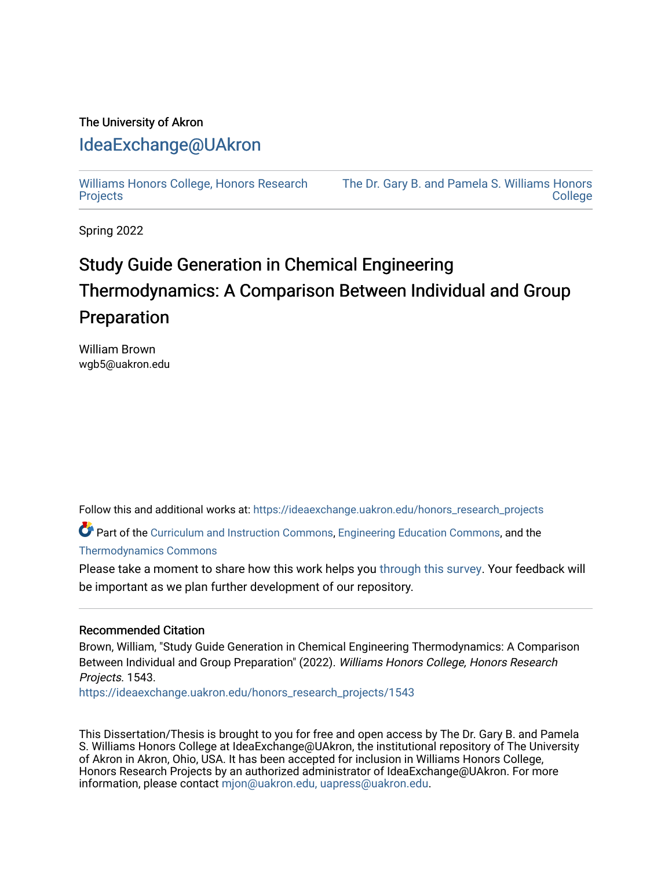# The University of Akron [IdeaExchange@UAkron](https://ideaexchange.uakron.edu/)

[Williams Honors College, Honors Research](https://ideaexchange.uakron.edu/honors_research_projects)  **[Projects](https://ideaexchange.uakron.edu/honors_research_projects)** 

[The Dr. Gary B. and Pamela S. Williams Honors](https://ideaexchange.uakron.edu/honorscollege_ideas)  **College** 

Spring 2022

# Study Guide Generation in Chemical Engineering Thermodynamics: A Comparison Between Individual and Group Preparation

William Brown wgb5@uakron.edu

Follow this and additional works at: [https://ideaexchange.uakron.edu/honors\\_research\\_projects](https://ideaexchange.uakron.edu/honors_research_projects?utm_source=ideaexchange.uakron.edu%2Fhonors_research_projects%2F1543&utm_medium=PDF&utm_campaign=PDFCoverPages) 

Part of the [Curriculum and Instruction Commons,](http://network.bepress.com/hgg/discipline/786?utm_source=ideaexchange.uakron.edu%2Fhonors_research_projects%2F1543&utm_medium=PDF&utm_campaign=PDFCoverPages) [Engineering Education Commons,](http://network.bepress.com/hgg/discipline/1191?utm_source=ideaexchange.uakron.edu%2Fhonors_research_projects%2F1543&utm_medium=PDF&utm_campaign=PDFCoverPages) and the [Thermodynamics Commons](http://network.bepress.com/hgg/discipline/248?utm_source=ideaexchange.uakron.edu%2Fhonors_research_projects%2F1543&utm_medium=PDF&utm_campaign=PDFCoverPages)

Please take a moment to share how this work helps you [through this survey](http://survey.az1.qualtrics.com/SE/?SID=SV_eEVH54oiCbOw05f&URL=https://ideaexchange.uakron.edu/honors_research_projects/1543). Your feedback will be important as we plan further development of our repository.

### Recommended Citation

Brown, William, "Study Guide Generation in Chemical Engineering Thermodynamics: A Comparison Between Individual and Group Preparation" (2022). Williams Honors College, Honors Research Projects. 1543.

[https://ideaexchange.uakron.edu/honors\\_research\\_projects/1543](https://ideaexchange.uakron.edu/honors_research_projects/1543?utm_source=ideaexchange.uakron.edu%2Fhonors_research_projects%2F1543&utm_medium=PDF&utm_campaign=PDFCoverPages) 

This Dissertation/Thesis is brought to you for free and open access by The Dr. Gary B. and Pamela S. Williams Honors College at IdeaExchange@UAkron, the institutional repository of The University of Akron in Akron, Ohio, USA. It has been accepted for inclusion in Williams Honors College, Honors Research Projects by an authorized administrator of IdeaExchange@UAkron. For more information, please contact [mjon@uakron.edu, uapress@uakron.edu.](mailto:mjon@uakron.edu,%20uapress@uakron.edu)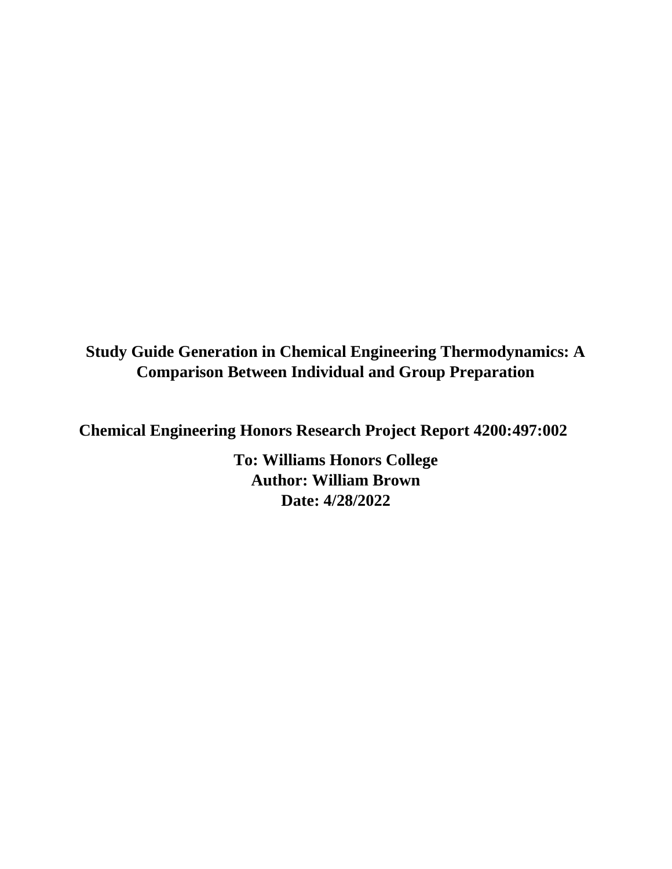**Study Guide Generation in Chemical Engineering Thermodynamics: A Comparison Between Individual and Group Preparation**

**Chemical Engineering Honors Research Project Report 4200:497:002**

**To: Williams Honors College Author: William Brown Date: 4/28/2022**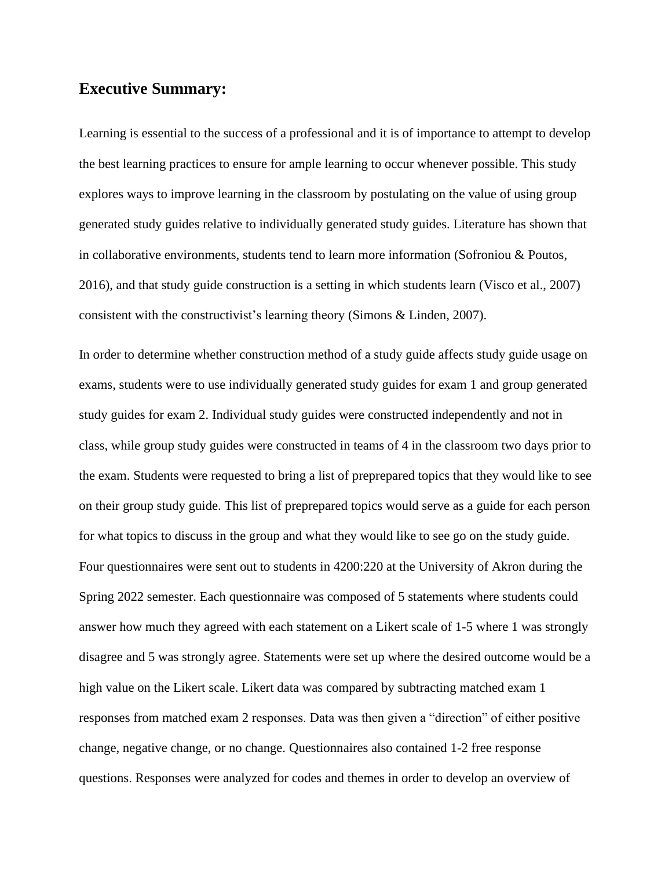### **Executive Summary:**

Learning is essential to the success of a professional and it is of importance to attempt to develop the best learning practices to ensure for ample learning to occur whenever possible. This study explores ways to improve learning in the classroom by postulating on the value of using group generated study guides relative to individually generated study guides. Literature has shown that in collaborative environments, students tend to learn more information (Sofroniou & Poutos, 2016), and that study guide construction is a setting in which students learn (Visco et al., 2007) consistent with the constructivist's learning theory (Simons & Linden, 2007).

In order to determine whether construction method of a study guide affects study guide usage on exams, students were to use individually generated study guides for exam 1 and group generated study guides for exam 2. Individual study guides were constructed independently and not in class, while group study guides were constructed in teams of 4 in the classroom two days prior to the exam. Students were requested to bring a list of preprepared topics that they would like to see on their group study guide. This list of preprepared topics would serve as a guide for each person for what topics to discuss in the group and what they would like to see go on the study guide. Four questionnaires were sent out to students in 4200:220 at the University of Akron during the Spring 2022 semester. Each questionnaire was composed of 5 statements where students could answer how much they agreed with each statement on a Likert scale of 1-5 where 1 was strongly disagree and 5 was strongly agree. Statements were set up where the desired outcome would be a high value on the Likert scale. Likert data was compared by subtracting matched exam 1 responses from matched exam 2 responses. Data was then given a "direction" of either positive change, negative change, or no change. Questionnaires also contained 1-2 free response questions. Responses were analyzed for codes and themes in order to develop an overview of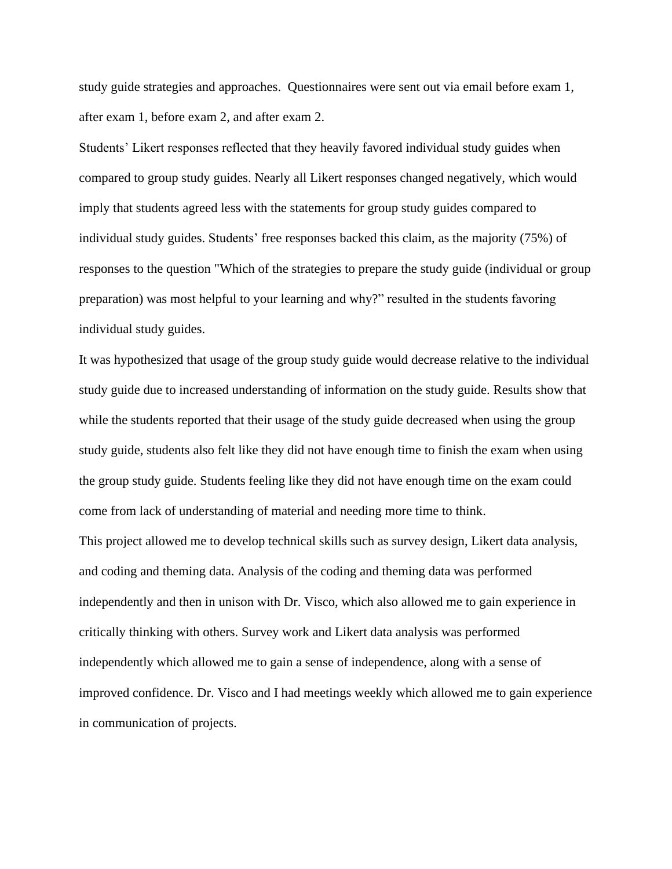study guide strategies and approaches. Questionnaires were sent out via email before exam 1, after exam 1, before exam 2, and after exam 2.

Students' Likert responses reflected that they heavily favored individual study guides when compared to group study guides. Nearly all Likert responses changed negatively, which would imply that students agreed less with the statements for group study guides compared to individual study guides. Students' free responses backed this claim, as the majority (75%) of responses to the question "Which of the strategies to prepare the study guide (individual or group preparation) was most helpful to your learning and why?" resulted in the students favoring individual study guides.

It was hypothesized that usage of the group study guide would decrease relative to the individual study guide due to increased understanding of information on the study guide. Results show that while the students reported that their usage of the study guide decreased when using the group study guide, students also felt like they did not have enough time to finish the exam when using the group study guide. Students feeling like they did not have enough time on the exam could come from lack of understanding of material and needing more time to think.

This project allowed me to develop technical skills such as survey design, Likert data analysis, and coding and theming data. Analysis of the coding and theming data was performed independently and then in unison with Dr. Visco, which also allowed me to gain experience in critically thinking with others. Survey work and Likert data analysis was performed independently which allowed me to gain a sense of independence, along with a sense of improved confidence. Dr. Visco and I had meetings weekly which allowed me to gain experience in communication of projects.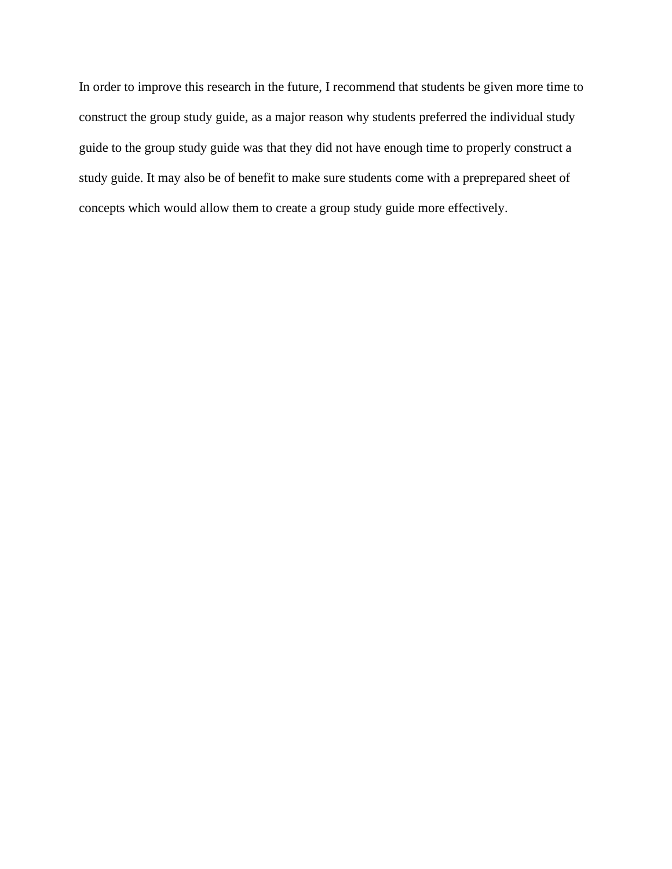In order to improve this research in the future, I recommend that students be given more time to construct the group study guide, as a major reason why students preferred the individual study guide to the group study guide was that they did not have enough time to properly construct a study guide. It may also be of benefit to make sure students come with a preprepared sheet of concepts which would allow them to create a group study guide more effectively.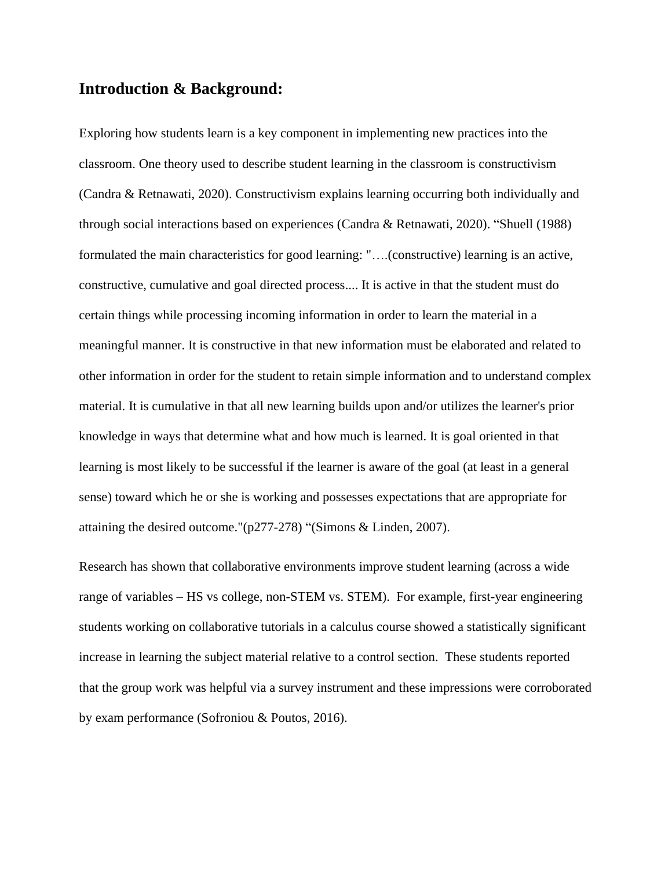### **Introduction & Background:**

Exploring how students learn is a key component in implementing new practices into the classroom. One theory used to describe student learning in the classroom is constructivism (Candra & Retnawati, 2020). Constructivism explains learning occurring both individually and through social interactions based on experiences (Candra & Retnawati, 2020). "Shuell (1988) formulated the main characteristics for good learning: "….(constructive) learning is an active, constructive, cumulative and goal directed process.... It is active in that the student must do certain things while processing incoming information in order to learn the material in a meaningful manner. It is constructive in that new information must be elaborated and related to other information in order for the student to retain simple information and to understand complex material. It is cumulative in that all new learning builds upon and/or utilizes the learner's prior knowledge in ways that determine what and how much is learned. It is goal oriented in that learning is most likely to be successful if the learner is aware of the goal (at least in a general sense) toward which he or she is working and possesses expectations that are appropriate for attaining the desired outcome."(p277-278) "(Simons & Linden, 2007).

Research has shown that collaborative environments improve student learning (across a wide range of variables – HS vs college, non-STEM vs. STEM). For example, first-year engineering students working on collaborative tutorials in a calculus course showed a statistically significant increase in learning the subject material relative to a control section. These students reported that the group work was helpful via a survey instrument and these impressions were corroborated by exam performance (Sofroniou & Poutos, 2016).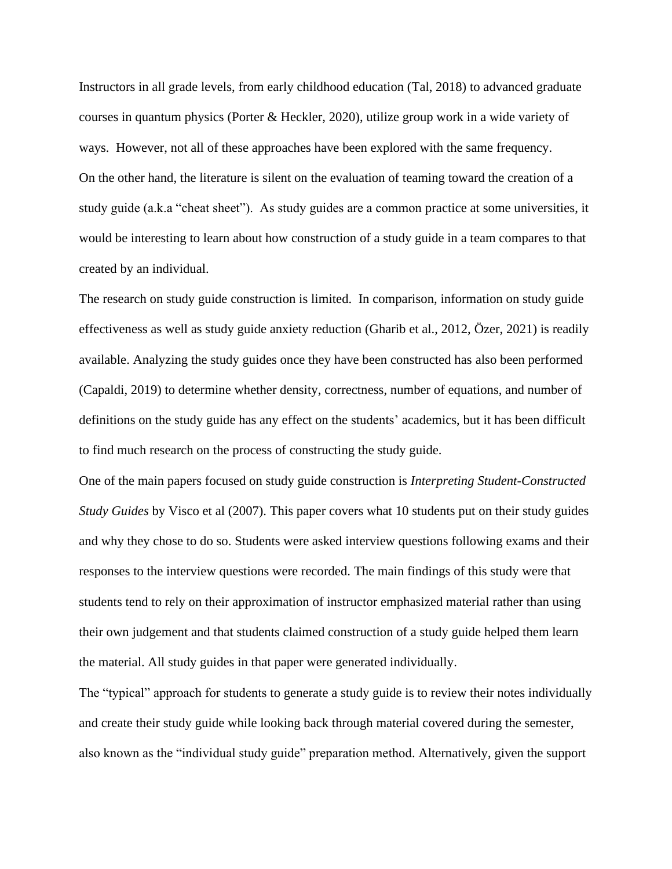Instructors in all grade levels, from early childhood education (Tal, 2018) to advanced graduate courses in quantum physics (Porter & Heckler, 2020), utilize group work in a wide variety of ways. However, not all of these approaches have been explored with the same frequency. On the other hand, the literature is silent on the evaluation of teaming toward the creation of a study guide (a.k.a "cheat sheet"). As study guides are a common practice at some universities, it would be interesting to learn about how construction of a study guide in a team compares to that created by an individual.

The research on study guide construction is limited. In comparison, information on study guide effectiveness as well as study guide anxiety reduction (Gharib et al., 2012, Özer, 2021) is readily available. Analyzing the study guides once they have been constructed has also been performed (Capaldi, 2019) to determine whether density, correctness, number of equations, and number of definitions on the study guide has any effect on the students' academics, but it has been difficult to find much research on the process of constructing the study guide.

One of the main papers focused on study guide construction is *Interpreting Student-Constructed Study Guides* by Visco et al (2007). This paper covers what 10 students put on their study guides and why they chose to do so. Students were asked interview questions following exams and their responses to the interview questions were recorded. The main findings of this study were that students tend to rely on their approximation of instructor emphasized material rather than using their own judgement and that students claimed construction of a study guide helped them learn the material. All study guides in that paper were generated individually.

The "typical" approach for students to generate a study guide is to review their notes individually and create their study guide while looking back through material covered during the semester, also known as the "individual study guide" preparation method. Alternatively, given the support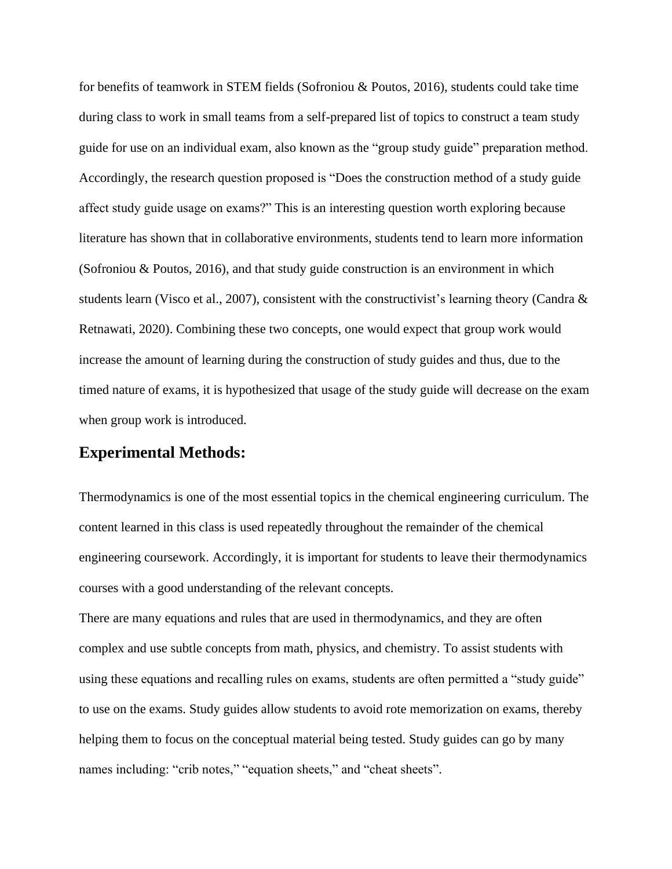for benefits of teamwork in STEM fields (Sofroniou & Poutos, 2016), students could take time during class to work in small teams from a self-prepared list of topics to construct a team study guide for use on an individual exam, also known as the "group study guide" preparation method. Accordingly, the research question proposed is "Does the construction method of a study guide affect study guide usage on exams?" This is an interesting question worth exploring because literature has shown that in collaborative environments, students tend to learn more information (Sofroniou & Poutos, 2016), and that study guide construction is an environment in which students learn (Visco et al., 2007), consistent with the constructivist's learning theory (Candra  $\&$ Retnawati, 2020). Combining these two concepts, one would expect that group work would increase the amount of learning during the construction of study guides and thus, due to the timed nature of exams, it is hypothesized that usage of the study guide will decrease on the exam when group work is introduced.

### **Experimental Methods:**

Thermodynamics is one of the most essential topics in the chemical engineering curriculum. The content learned in this class is used repeatedly throughout the remainder of the chemical engineering coursework. Accordingly, it is important for students to leave their thermodynamics courses with a good understanding of the relevant concepts.

There are many equations and rules that are used in thermodynamics, and they are often complex and use subtle concepts from math, physics, and chemistry. To assist students with using these equations and recalling rules on exams, students are often permitted a "study guide" to use on the exams. Study guides allow students to avoid rote memorization on exams, thereby helping them to focus on the conceptual material being tested. Study guides can go by many names including: "crib notes," "equation sheets," and "cheat sheets".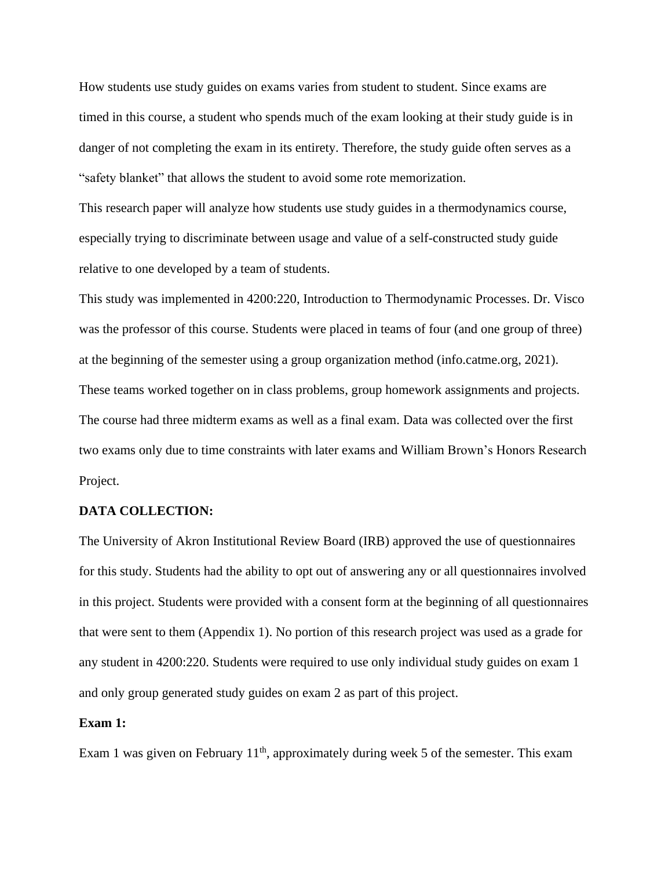How students use study guides on exams varies from student to student. Since exams are timed in this course, a student who spends much of the exam looking at their study guide is in danger of not completing the exam in its entirety. Therefore, the study guide often serves as a "safety blanket" that allows the student to avoid some rote memorization.

This research paper will analyze how students use study guides in a thermodynamics course, especially trying to discriminate between usage and value of a self-constructed study guide relative to one developed by a team of students.

This study was implemented in 4200:220, Introduction to Thermodynamic Processes. Dr. Visco was the professor of this course. Students were placed in teams of four (and one group of three) at the beginning of the semester using a group organization method (info.catme.org, 2021). These teams worked together on in class problems, group homework assignments and projects. The course had three midterm exams as well as a final exam. Data was collected over the first two exams only due to time constraints with later exams and William Brown's Honors Research Project.

#### **DATA COLLECTION:**

The University of Akron Institutional Review Board (IRB) approved the use of questionnaires for this study. Students had the ability to opt out of answering any or all questionnaires involved in this project. Students were provided with a consent form at the beginning of all questionnaires that were sent to them (Appendix 1). No portion of this research project was used as a grade for any student in 4200:220. Students were required to use only individual study guides on exam 1 and only group generated study guides on exam 2 as part of this project.

#### **Exam 1:**

Exam 1 was given on February  $11<sup>th</sup>$ , approximately during week 5 of the semester. This exam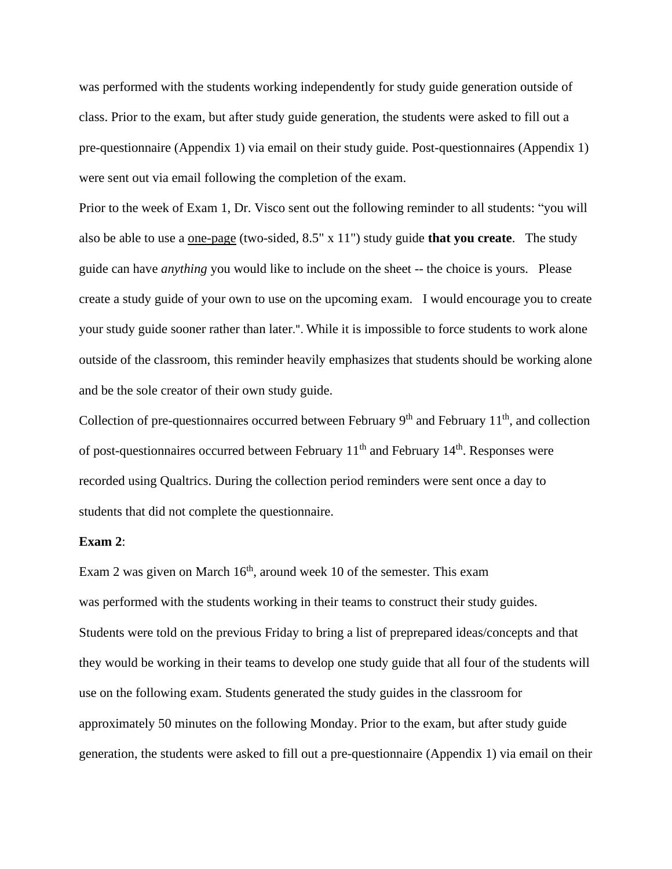was performed with the students working independently for study guide generation outside of class. Prior to the exam, but after study guide generation, the students were asked to fill out a pre-questionnaire (Appendix 1) via email on their study guide. Post-questionnaires (Appendix 1) were sent out via email following the completion of the exam.

Prior to the week of Exam 1, Dr. Visco sent out the following reminder to all students: "you will also be able to use a one-page (two-sided, 8.5" x 11") study guide **that you create**. The study guide can have *anything* you would like to include on the sheet -- the choice is yours. Please create a study guide of your own to use on the upcoming exam. I would encourage you to create your study guide sooner rather than later.". While it is impossible to force students to work alone outside of the classroom, this reminder heavily emphasizes that students should be working alone and be the sole creator of their own study guide.

Collection of pre-questionnaires occurred between February  $9<sup>th</sup>$  and February 11<sup>th</sup>, and collection of post-questionnaires occurred between February  $11<sup>th</sup>$  and February  $14<sup>th</sup>$ . Responses were recorded using Qualtrics. During the collection period reminders were sent once a day to students that did not complete the questionnaire.

#### **Exam 2**:

Exam 2 was given on March  $16<sup>th</sup>$ , around week 10 of the semester. This exam was performed with the students working in their teams to construct their study guides. Students were told on the previous Friday to bring a list of preprepared ideas/concepts and that they would be working in their teams to develop one study guide that all four of the students will use on the following exam. Students generated the study guides in the classroom for approximately 50 minutes on the following Monday. Prior to the exam, but after study guide generation, the students were asked to fill out a pre-questionnaire (Appendix 1) via email on their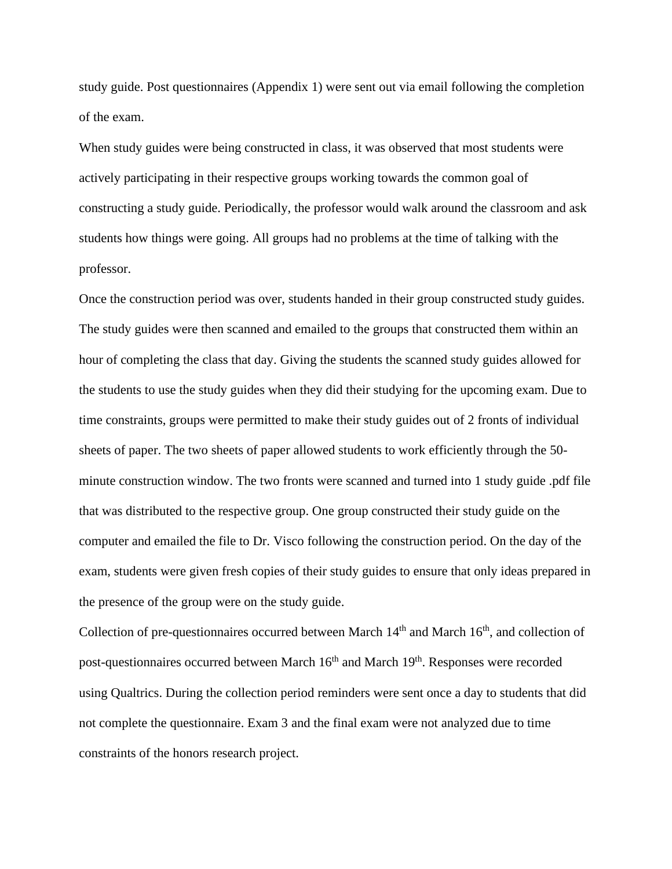study guide. Post questionnaires (Appendix 1) were sent out via email following the completion of the exam.

When study guides were being constructed in class, it was observed that most students were actively participating in their respective groups working towards the common goal of constructing a study guide. Periodically, the professor would walk around the classroom and ask students how things were going. All groups had no problems at the time of talking with the professor.

Once the construction period was over, students handed in their group constructed study guides. The study guides were then scanned and emailed to the groups that constructed them within an hour of completing the class that day. Giving the students the scanned study guides allowed for the students to use the study guides when they did their studying for the upcoming exam. Due to time constraints, groups were permitted to make their study guides out of 2 fronts of individual sheets of paper. The two sheets of paper allowed students to work efficiently through the 50 minute construction window. The two fronts were scanned and turned into 1 study guide .pdf file that was distributed to the respective group. One group constructed their study guide on the computer and emailed the file to Dr. Visco following the construction period. On the day of the exam, students were given fresh copies of their study guides to ensure that only ideas prepared in the presence of the group were on the study guide.

Collection of pre-questionnaires occurred between March  $14<sup>th</sup>$  and March  $16<sup>th</sup>$ , and collection of post-questionnaires occurred between March 16<sup>th</sup> and March 19<sup>th</sup>. Responses were recorded using Qualtrics. During the collection period reminders were sent once a day to students that did not complete the questionnaire. Exam 3 and the final exam were not analyzed due to time constraints of the honors research project.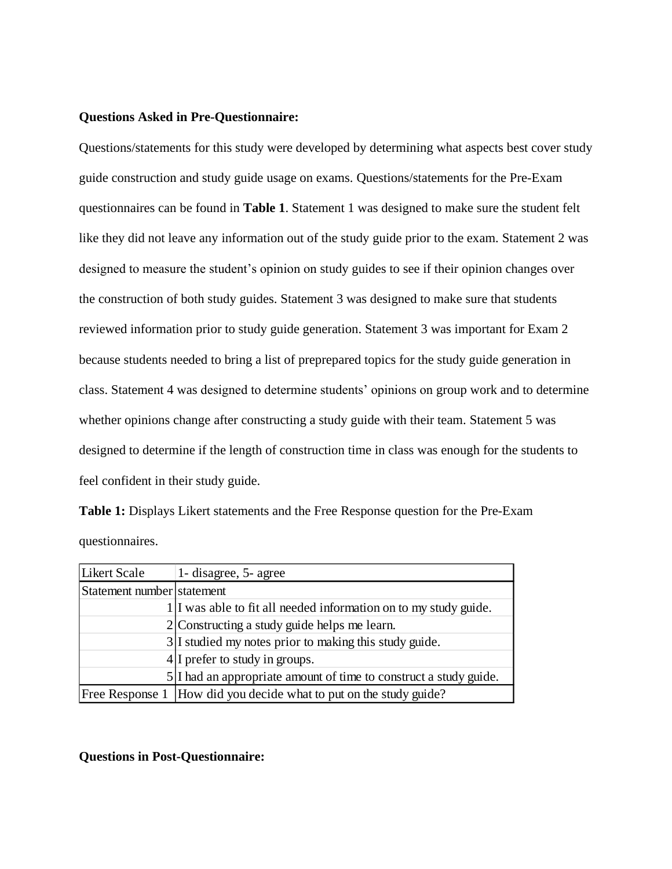#### **Questions Asked in Pre-Questionnaire:**

Questions/statements for this study were developed by determining what aspects best cover study guide construction and study guide usage on exams. Questions/statements for the Pre-Exam questionnaires can be found in **Table 1**. Statement 1 was designed to make sure the student felt like they did not leave any information out of the study guide prior to the exam. Statement 2 was designed to measure the student's opinion on study guides to see if their opinion changes over the construction of both study guides. Statement 3 was designed to make sure that students reviewed information prior to study guide generation. Statement 3 was important for Exam 2 because students needed to bring a list of preprepared topics for the study guide generation in class. Statement 4 was designed to determine students' opinions on group work and to determine whether opinions change after constructing a study guide with their team. Statement 5 was designed to determine if the length of construction time in class was enough for the students to feel confident in their study guide.

**Table 1:** Displays Likert statements and the Free Response question for the Pre-Exam questionnaires.

| Likert Scale               | 1- disagree, 5- agree                                              |
|----------------------------|--------------------------------------------------------------------|
| Statement number statement |                                                                    |
|                            | 1. I was able to fit all needed information on to my study guide.  |
|                            | $2$ Constructing a study guide helps me learn.                     |
|                            | $3 I$ studied my notes prior to making this study guide.           |
|                            | $4 I$ prefer to study in groups.                                   |
|                            | 5 I had an appropriate amount of time to construct a study guide.  |
|                            | Free Response 1 How did you decide what to put on the study guide? |

**Questions in Post-Questionnaire:**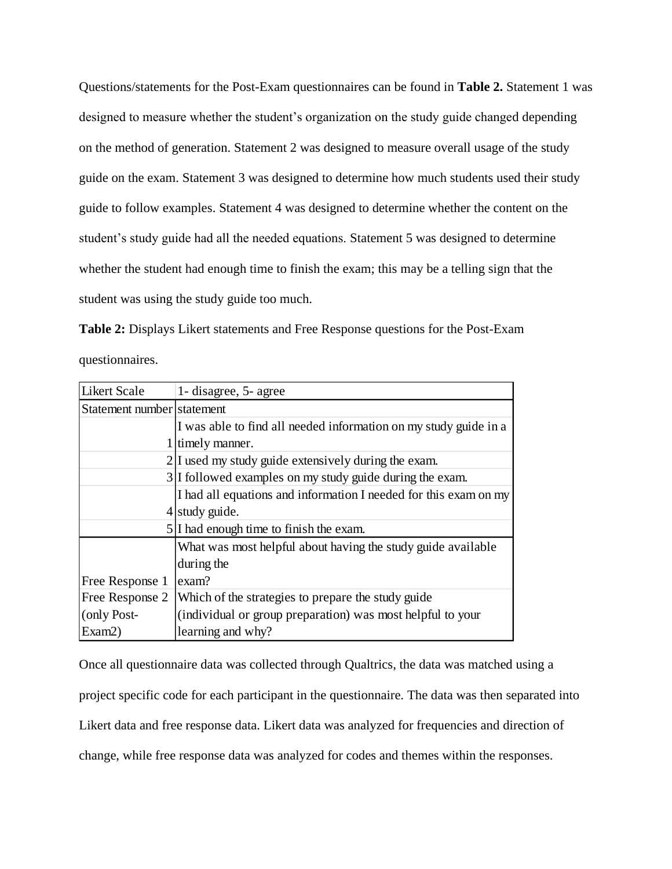Questions/statements for the Post-Exam questionnaires can be found in **Table 2.** Statement 1 was designed to measure whether the student's organization on the study guide changed depending on the method of generation. Statement 2 was designed to measure overall usage of the study guide on the exam. Statement 3 was designed to determine how much students used their study guide to follow examples. Statement 4 was designed to determine whether the content on the student's study guide had all the needed equations. Statement 5 was designed to determine whether the student had enough time to finish the exam; this may be a telling sign that the student was using the study guide too much.

**Table 2:** Displays Likert statements and Free Response questions for the Post-Exam questionnaires.

| <b>Likert Scale</b>        | 1- disagree, 5- agree                                            |
|----------------------------|------------------------------------------------------------------|
| Statement number statement |                                                                  |
|                            | I was able to find all needed information on my study guide in a |
|                            | 1 timely manner.                                                 |
|                            | 2. 2 I used my study guide extensively during the exam.          |
|                            | 3. I followed examples on my study guide during the exam.        |
|                            | I had all equations and information I needed for this exam on my |
|                            | $4$ study guide.                                                 |
|                            | $5 I$ had enough time to finish the exam.                        |
|                            | What was most helpful about having the study guide available     |
|                            | during the                                                       |
| Free Response 1            | exam?                                                            |
| Free Response 2            | Which of the strategies to prepare the study guide               |
| (only Post-                | (individual or group preparation) was most helpful to your       |
| Exam2)                     | learning and why?                                                |

Once all questionnaire data was collected through Qualtrics, the data was matched using a project specific code for each participant in the questionnaire. The data was then separated into Likert data and free response data. Likert data was analyzed for frequencies and direction of change, while free response data was analyzed for codes and themes within the responses.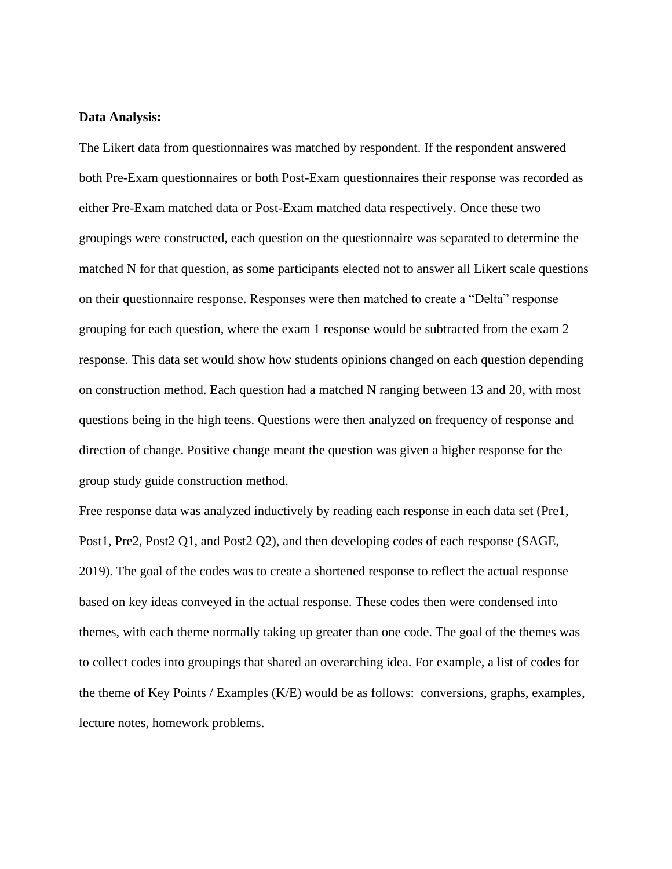#### **Data Analysis:**

The Likert data from questionnaires was matched by respondent. If the respondent answered both Pre-Exam questionnaires or both Post-Exam questionnaires their response was recorded as either Pre-Exam matched data or Post-Exam matched data respectively. Once these two groupings were constructed, each question on the questionnaire was separated to determine the matched N for that question, as some participants elected not to answer all Likert scale questions on their questionnaire response. Responses were then matched to create a "Delta" response grouping for each question, where the exam 1 response would be subtracted from the exam 2 response. This data set would show how students opinions changed on each question depending on construction method. Each question had a matched N ranging between 13 and 20, with most questions being in the high teens. Questions were then analyzed on frequency of response and direction of change. Positive change meant the question was given a higher response for the group study guide construction method.

Free response data was analyzed inductively by reading each response in each data set (Pre1, Post1, Pre2, Post2 Q1, and Post2 Q2), and then developing codes of each response (SAGE, 2019). The goal of the codes was to create a shortened response to reflect the actual response based on key ideas conveyed in the actual response. These codes then were condensed into themes, with each theme normally taking up greater than one code. The goal of the themes was to collect codes into groupings that shared an overarching idea. For example, a list of codes for the theme of Key Points / Examples (K/E) would be as follows: conversions, graphs, examples, lecture notes, homework problems.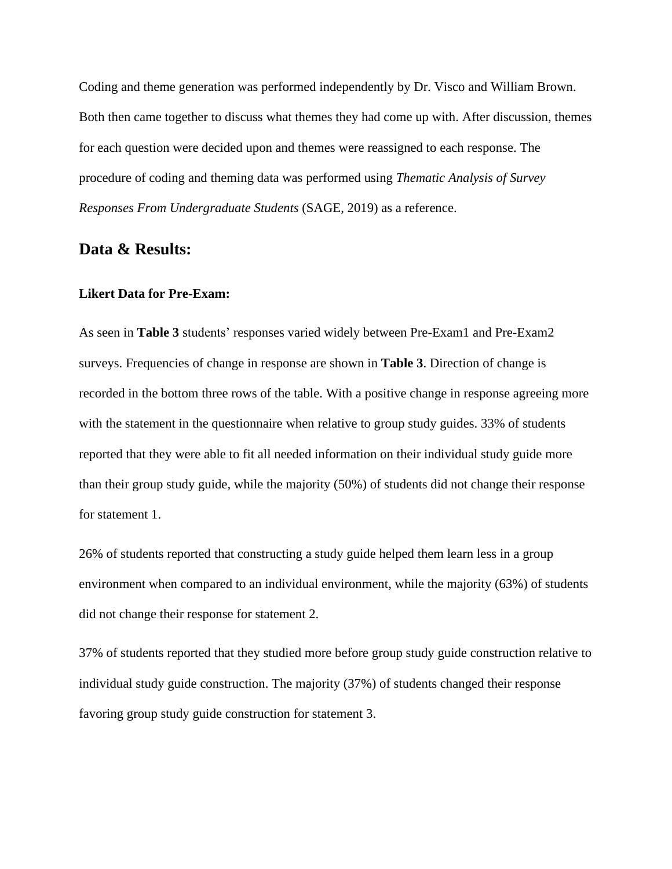Coding and theme generation was performed independently by Dr. Visco and William Brown. Both then came together to discuss what themes they had come up with. After discussion, themes for each question were decided upon and themes were reassigned to each response. The procedure of coding and theming data was performed using *Thematic Analysis of Survey Responses From Undergraduate Students* (SAGE, 2019) as a reference.

### **Data & Results:**

#### **Likert Data for Pre-Exam:**

As seen in **Table 3** students' responses varied widely between Pre-Exam1 and Pre-Exam2 surveys. Frequencies of change in response are shown in **Table 3**. Direction of change is recorded in the bottom three rows of the table. With a positive change in response agreeing more with the statement in the questionnaire when relative to group study guides. 33% of students reported that they were able to fit all needed information on their individual study guide more than their group study guide, while the majority (50%) of students did not change their response for statement 1.

26% of students reported that constructing a study guide helped them learn less in a group environment when compared to an individual environment, while the majority (63%) of students did not change their response for statement 2.

37% of students reported that they studied more before group study guide construction relative to individual study guide construction. The majority (37%) of students changed their response favoring group study guide construction for statement 3.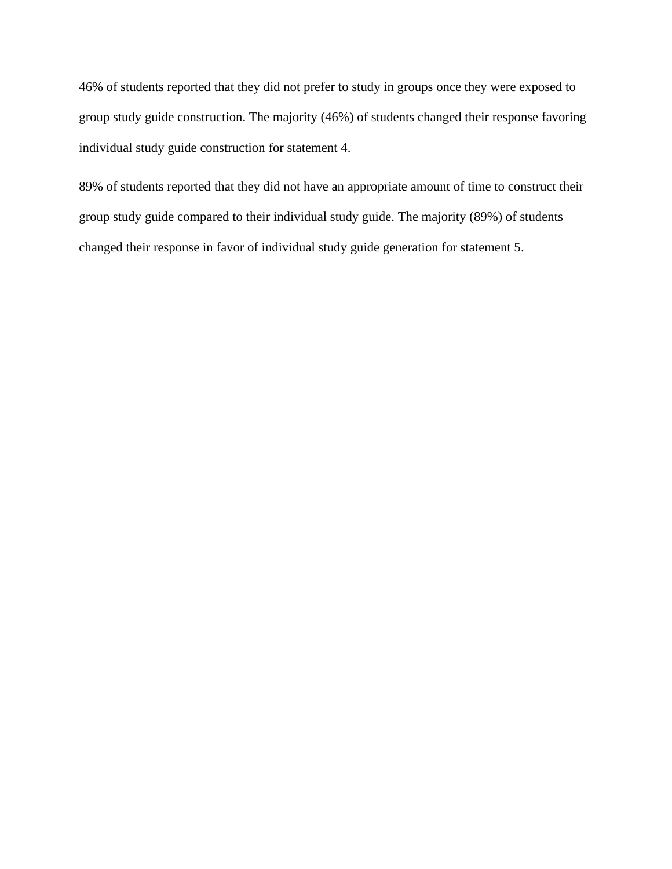46% of students reported that they did not prefer to study in groups once they were exposed to group study guide construction. The majority (46%) of students changed their response favoring individual study guide construction for statement 4.

89% of students reported that they did not have an appropriate amount of time to construct their group study guide compared to their individual study guide. The majority (89%) of students changed their response in favor of individual study guide generation for statement 5.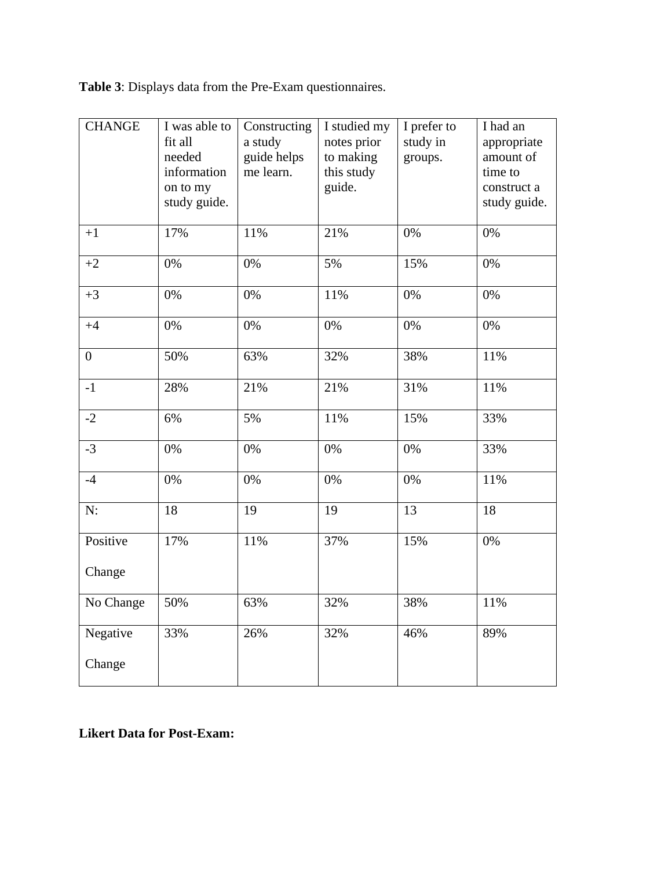| <b>Table 3:</b> Displays data from the Pre-Exam questionnaires. |  |
|-----------------------------------------------------------------|--|
|-----------------------------------------------------------------|--|

| <b>CHANGE</b>      | I was able to<br>fit all<br>needed<br>information<br>on to my<br>study guide. | Constructing<br>a study<br>guide helps<br>me learn. | I studied my<br>notes prior<br>to making<br>this study<br>guide. | I prefer to<br>study in<br>groups. | I had an<br>appropriate<br>amount of<br>time to<br>construct a<br>study guide. |
|--------------------|-------------------------------------------------------------------------------|-----------------------------------------------------|------------------------------------------------------------------|------------------------------------|--------------------------------------------------------------------------------|
| $+1$               | 17%                                                                           | 11%                                                 | 21%                                                              | 0%                                 | $0\%$                                                                          |
| $+2$               | $0\%$                                                                         | 0%                                                  | 5%                                                               | 15%                                | 0%                                                                             |
| $+3$               | 0%                                                                            | 0%                                                  | 11%                                                              | 0%                                 | 0%                                                                             |
| $+4$               | 0%                                                                            | 0%                                                  | 0%                                                               | 0%                                 | 0%                                                                             |
| $\overline{0}$     | 50%                                                                           | 63%                                                 | 32%                                                              | 38%                                | 11%                                                                            |
| $-1$               | 28%                                                                           | 21%                                                 | 21%                                                              | 31%                                | 11%                                                                            |
| $-2$               | 6%                                                                            | 5%                                                  | 11%                                                              | 15%                                | 33%                                                                            |
| $-3$               | 0%                                                                            | 0%                                                  | 0%                                                               | 0%                                 | 33%                                                                            |
| $-4$               | 0%                                                                            | 0%                                                  | 0%                                                               | 0%                                 | 11%                                                                            |
| N:                 | 18                                                                            | 19                                                  | 19                                                               | 13                                 | 18                                                                             |
| Positive<br>Change | 17%                                                                           | 11%                                                 | 37%                                                              | 15%                                | 0%                                                                             |
| No Change          | 50%                                                                           | 63%                                                 | 32%                                                              | 38%                                | 11%                                                                            |
| Negative<br>Change | 33%                                                                           | 26%                                                 | 32%                                                              | 46%                                | 89%                                                                            |

**Likert Data for Post-Exam:**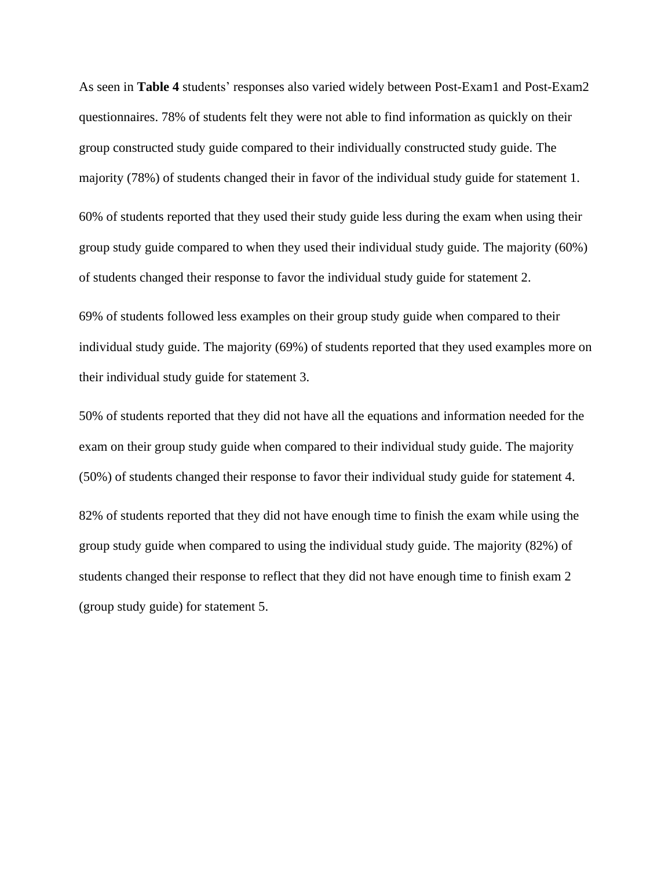As seen in **Table 4** students' responses also varied widely between Post-Exam1 and Post-Exam2 questionnaires. 78% of students felt they were not able to find information as quickly on their group constructed study guide compared to their individually constructed study guide. The majority (78%) of students changed their in favor of the individual study guide for statement 1.

60% of students reported that they used their study guide less during the exam when using their group study guide compared to when they used their individual study guide. The majority (60%) of students changed their response to favor the individual study guide for statement 2.

69% of students followed less examples on their group study guide when compared to their individual study guide. The majority (69%) of students reported that they used examples more on their individual study guide for statement 3.

50% of students reported that they did not have all the equations and information needed for the exam on their group study guide when compared to their individual study guide. The majority (50%) of students changed their response to favor their individual study guide for statement 4. 82% of students reported that they did not have enough time to finish the exam while using the group study guide when compared to using the individual study guide. The majority (82%) of students changed their response to reflect that they did not have enough time to finish exam 2 (group study guide) for statement 5.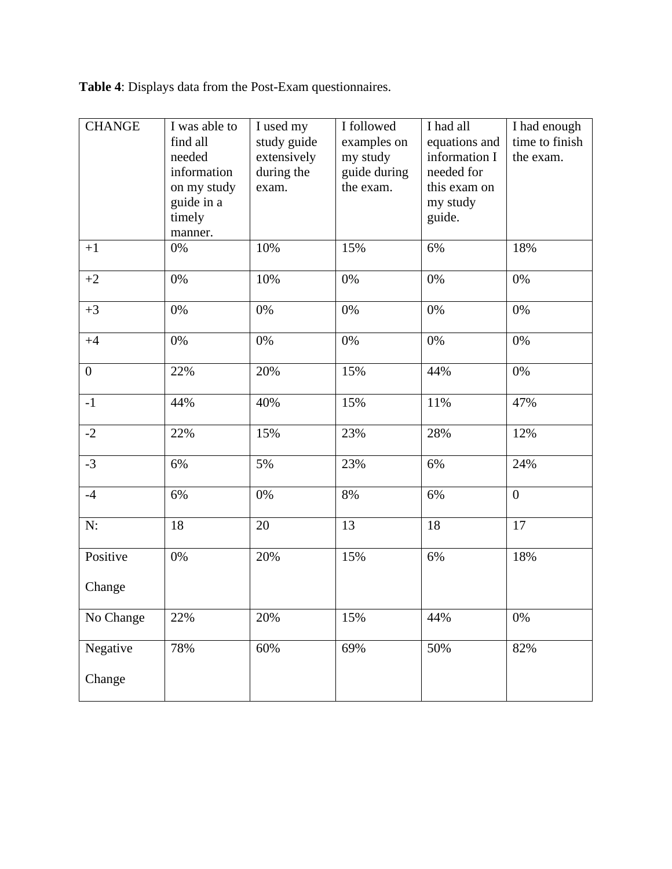**Table 4**: Displays data from the Post-Exam questionnaires.

| <b>CHANGE</b>      | I was able to<br>find all<br>needed<br>information<br>on my study<br>guide in a<br>timely<br>manner. | I used my<br>study guide<br>extensively<br>during the<br>exam. | I followed<br>examples on<br>my study<br>guide during<br>the exam. | I had all<br>equations and<br>information I<br>needed for<br>this exam on<br>my study<br>guide. | I had enough<br>time to finish<br>the exam. |
|--------------------|------------------------------------------------------------------------------------------------------|----------------------------------------------------------------|--------------------------------------------------------------------|-------------------------------------------------------------------------------------------------|---------------------------------------------|
| $+1$               | 0%                                                                                                   | 10%                                                            | 15%                                                                | 6%                                                                                              | 18%                                         |
| $+2$               | 0%                                                                                                   | 10%                                                            | 0%                                                                 | 0%                                                                                              | 0%                                          |
| $+3$               | 0%                                                                                                   | 0%                                                             | 0%                                                                 | 0%                                                                                              | 0%                                          |
| $+4$               | 0%                                                                                                   | 0%                                                             | 0%                                                                 | 0%                                                                                              | 0%                                          |
| $\overline{0}$     | 22%                                                                                                  | 20%                                                            | 15%                                                                | 44%                                                                                             | 0%                                          |
| $-1$               | 44%                                                                                                  | 40%                                                            | 15%                                                                | 11%                                                                                             | 47%                                         |
| $-2$               | 22%                                                                                                  | 15%                                                            | 23%                                                                | 28%                                                                                             | 12%                                         |
| $-3$               | 6%                                                                                                   | 5%                                                             | 23%                                                                | 6%                                                                                              | 24%                                         |
| $-4$               | 6%                                                                                                   | 0%                                                             | 8%                                                                 | 6%                                                                                              | $\boldsymbol{0}$                            |
| N:                 | 18                                                                                                   | 20                                                             | 13                                                                 | 18                                                                                              | 17                                          |
| Positive           | 0%                                                                                                   | 20%                                                            | 15%                                                                | 6%                                                                                              | 18%                                         |
| Change             |                                                                                                      |                                                                |                                                                    |                                                                                                 |                                             |
| No Change          | 22%                                                                                                  | 20%                                                            | 15%                                                                | 44%                                                                                             | 0%                                          |
| Negative<br>Change | 78%                                                                                                  | 60%                                                            | 69%                                                                | 50%                                                                                             | 82%                                         |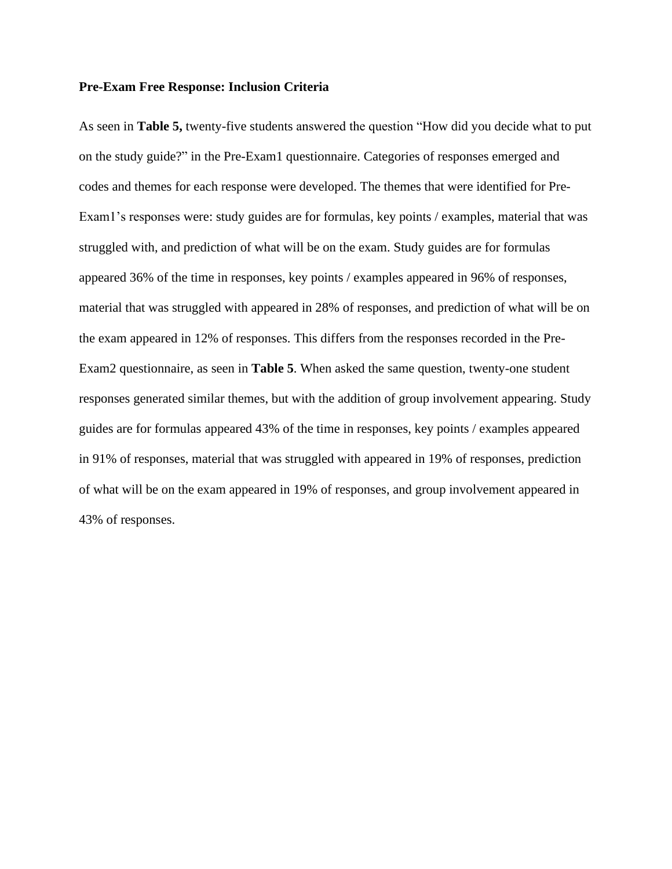#### **Pre-Exam Free Response: Inclusion Criteria**

As seen in **Table 5,** twenty-five students answered the question "How did you decide what to put on the study guide?" in the Pre-Exam1 questionnaire. Categories of responses emerged and codes and themes for each response were developed. The themes that were identified for Pre-Exam1's responses were: study guides are for formulas, key points / examples, material that was struggled with, and prediction of what will be on the exam. Study guides are for formulas appeared 36% of the time in responses, key points / examples appeared in 96% of responses, material that was struggled with appeared in 28% of responses, and prediction of what will be on the exam appeared in 12% of responses. This differs from the responses recorded in the Pre-Exam2 questionnaire, as seen in **Table 5**. When asked the same question, twenty-one student responses generated similar themes, but with the addition of group involvement appearing. Study guides are for formulas appeared 43% of the time in responses, key points / examples appeared in 91% of responses, material that was struggled with appeared in 19% of responses, prediction of what will be on the exam appeared in 19% of responses, and group involvement appeared in 43% of responses.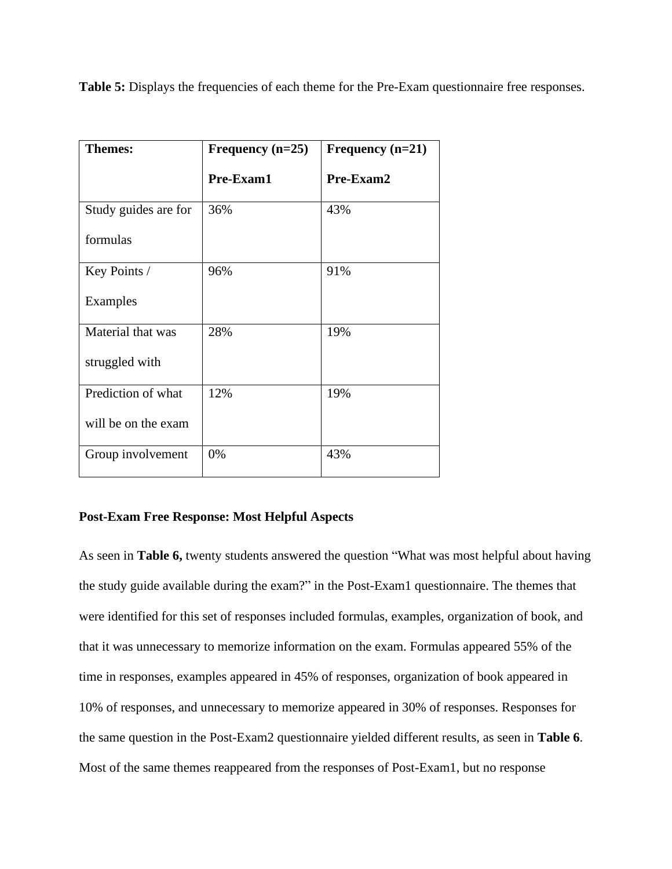**Table 5:** Displays the frequencies of each theme for the Pre-Exam questionnaire free responses.

| <b>Themes:</b>       | Frequency $(n=25)$ | Frequency $(n=21)$ |
|----------------------|--------------------|--------------------|
|                      | Pre-Exam1          | Pre-Exam2          |
| Study guides are for | 36%                | 43%                |
| formulas             |                    |                    |
| Key Points /         | 96%                | 91%                |
| Examples             |                    |                    |
| Material that was    | 28%                | 19%                |
| struggled with       |                    |                    |
| Prediction of what   | 12%                | 19%                |
| will be on the exam  |                    |                    |
| Group involvement    | 0%                 | 43%                |

### **Post-Exam Free Response: Most Helpful Aspects**

As seen in **Table 6,** twenty students answered the question "What was most helpful about having the study guide available during the exam?" in the Post-Exam1 questionnaire. The themes that were identified for this set of responses included formulas, examples, organization of book, and that it was unnecessary to memorize information on the exam. Formulas appeared 55% of the time in responses, examples appeared in 45% of responses, organization of book appeared in 10% of responses, and unnecessary to memorize appeared in 30% of responses. Responses for the same question in the Post-Exam2 questionnaire yielded different results, as seen in **Table 6**. Most of the same themes reappeared from the responses of Post-Exam1, but no response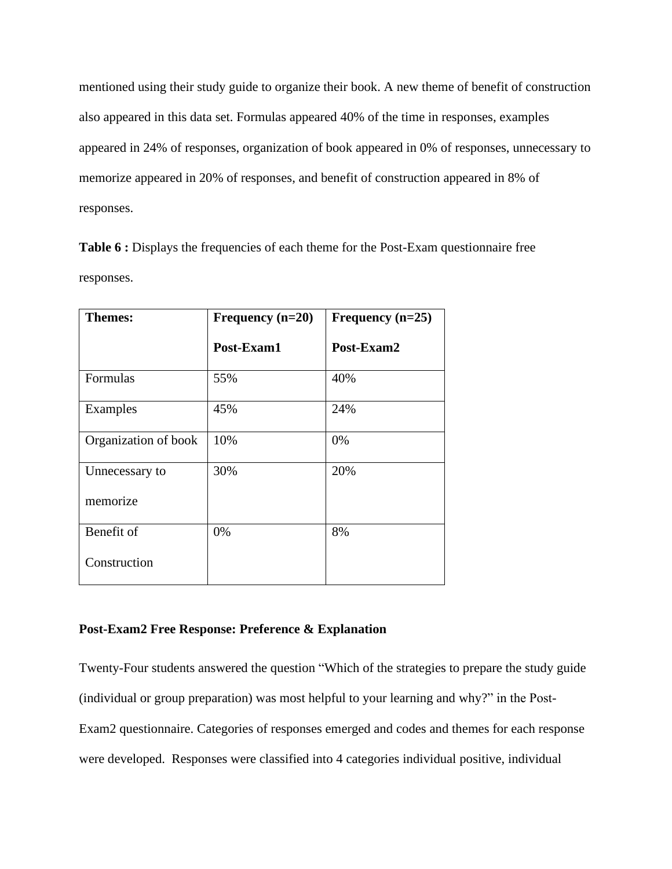mentioned using their study guide to organize their book. A new theme of benefit of construction also appeared in this data set. Formulas appeared 40% of the time in responses, examples appeared in 24% of responses, organization of book appeared in 0% of responses, unnecessary to memorize appeared in 20% of responses, and benefit of construction appeared in 8% of responses.

Table 6 : Displays the frequencies of each theme for the Post-Exam questionnaire free responses.

| <b>Themes:</b>       | Frequency $(n=20)$ | Frequency $(n=25)$ |
|----------------------|--------------------|--------------------|
|                      | Post-Exam1         | Post-Exam2         |
| Formulas             | 55%                | 40%                |
| Examples             | 45%                | 24%                |
| Organization of book | 10%                | 0%                 |
| Unnecessary to       | 30%                | 20%                |
| memorize             |                    |                    |
| Benefit of           | 0%                 | 8%                 |
| Construction         |                    |                    |

#### **Post-Exam2 Free Response: Preference & Explanation**

Twenty-Four students answered the question "Which of the strategies to prepare the study guide (individual or group preparation) was most helpful to your learning and why?" in the Post-Exam2 questionnaire. Categories of responses emerged and codes and themes for each response were developed. Responses were classified into 4 categories individual positive, individual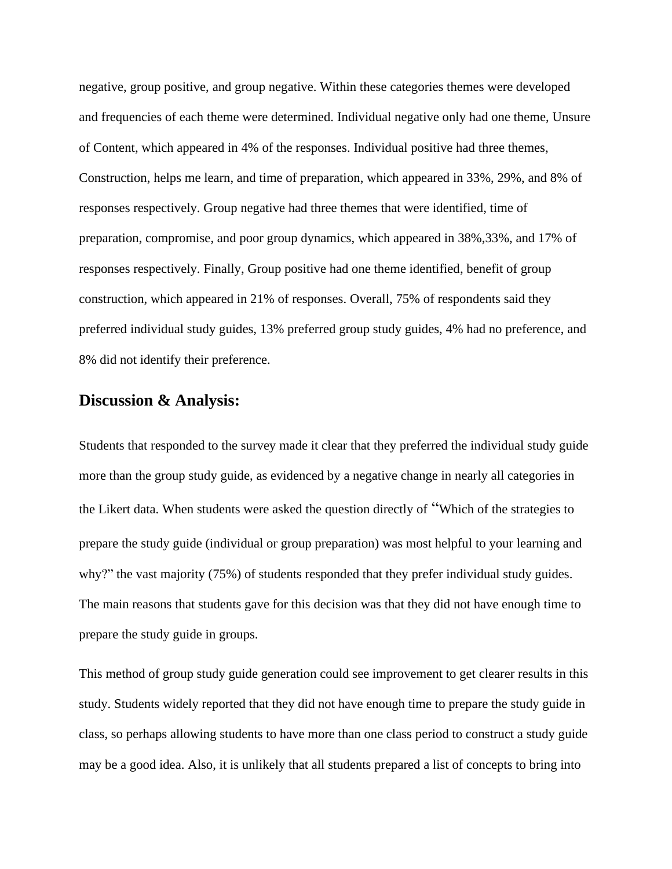negative, group positive, and group negative. Within these categories themes were developed and frequencies of each theme were determined. Individual negative only had one theme, Unsure of Content, which appeared in 4% of the responses. Individual positive had three themes, Construction, helps me learn, and time of preparation, which appeared in 33%, 29%, and 8% of responses respectively. Group negative had three themes that were identified, time of preparation, compromise, and poor group dynamics, which appeared in 38%,33%, and 17% of responses respectively. Finally, Group positive had one theme identified, benefit of group construction, which appeared in 21% of responses. Overall, 75% of respondents said they preferred individual study guides, 13% preferred group study guides, 4% had no preference, and 8% did not identify their preference.

### **Discussion & Analysis:**

Students that responded to the survey made it clear that they preferred the individual study guide more than the group study guide, as evidenced by a negative change in nearly all categories in the Likert data. When students were asked the question directly of "Which of the strategies to prepare the study guide (individual or group preparation) was most helpful to your learning and why?" the vast majority (75%) of students responded that they prefer individual study guides. The main reasons that students gave for this decision was that they did not have enough time to prepare the study guide in groups.

This method of group study guide generation could see improvement to get clearer results in this study. Students widely reported that they did not have enough time to prepare the study guide in class, so perhaps allowing students to have more than one class period to construct a study guide may be a good idea. Also, it is unlikely that all students prepared a list of concepts to bring into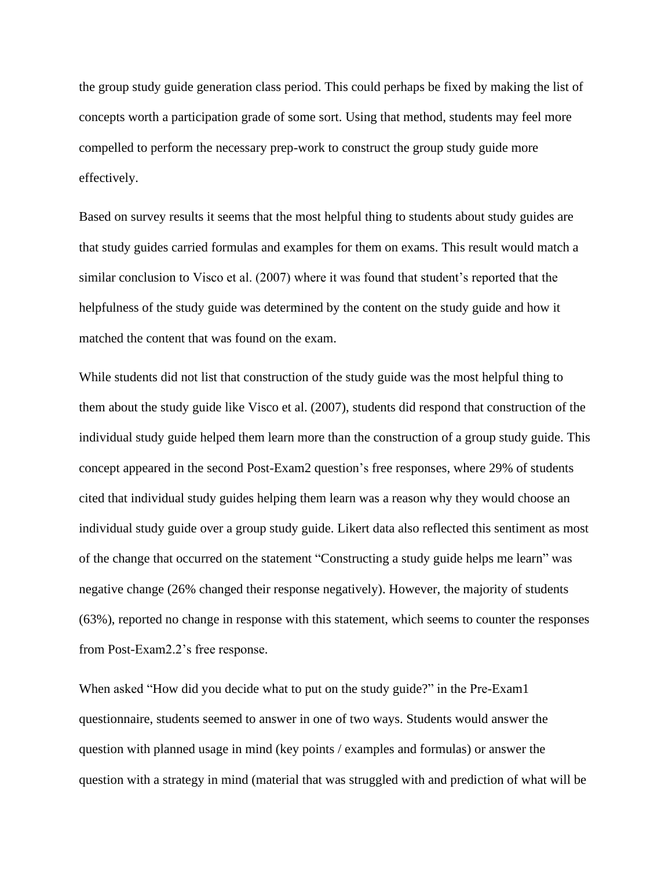the group study guide generation class period. This could perhaps be fixed by making the list of concepts worth a participation grade of some sort. Using that method, students may feel more compelled to perform the necessary prep-work to construct the group study guide more effectively.

Based on survey results it seems that the most helpful thing to students about study guides are that study guides carried formulas and examples for them on exams. This result would match a similar conclusion to Visco et al. (2007) where it was found that student's reported that the helpfulness of the study guide was determined by the content on the study guide and how it matched the content that was found on the exam.

While students did not list that construction of the study guide was the most helpful thing to them about the study guide like Visco et al. (2007), students did respond that construction of the individual study guide helped them learn more than the construction of a group study guide. This concept appeared in the second Post-Exam2 question's free responses, where 29% of students cited that individual study guides helping them learn was a reason why they would choose an individual study guide over a group study guide. Likert data also reflected this sentiment as most of the change that occurred on the statement "Constructing a study guide helps me learn" was negative change (26% changed their response negatively). However, the majority of students (63%), reported no change in response with this statement, which seems to counter the responses from Post-Exam2.2's free response.

When asked "How did you decide what to put on the study guide?" in the Pre-Exam1 questionnaire, students seemed to answer in one of two ways. Students would answer the question with planned usage in mind (key points / examples and formulas) or answer the question with a strategy in mind (material that was struggled with and prediction of what will be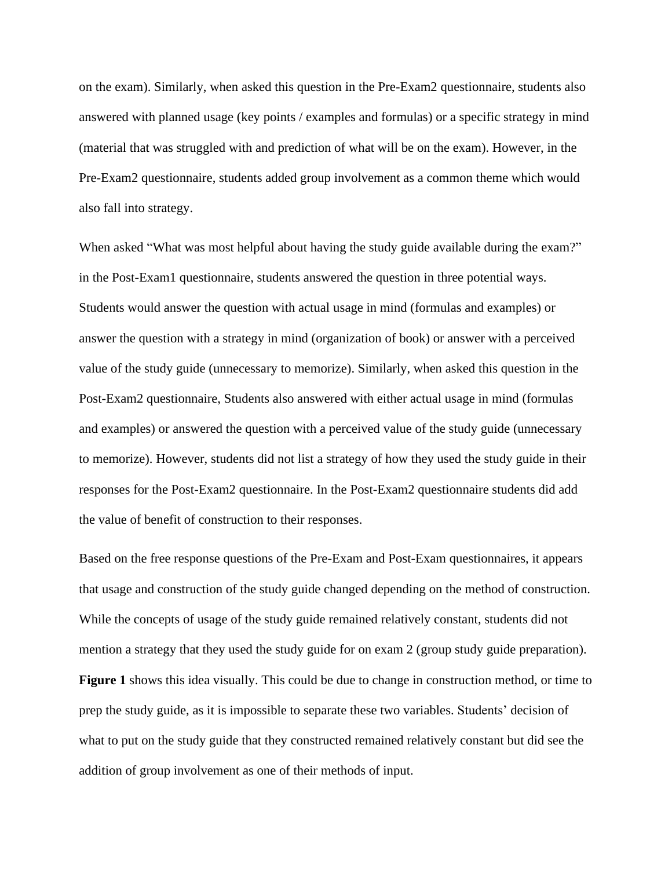on the exam). Similarly, when asked this question in the Pre-Exam2 questionnaire, students also answered with planned usage (key points / examples and formulas) or a specific strategy in mind (material that was struggled with and prediction of what will be on the exam). However, in the Pre-Exam2 questionnaire, students added group involvement as a common theme which would also fall into strategy.

When asked "What was most helpful about having the study guide available during the exam?" in the Post-Exam1 questionnaire, students answered the question in three potential ways. Students would answer the question with actual usage in mind (formulas and examples) or answer the question with a strategy in mind (organization of book) or answer with a perceived value of the study guide (unnecessary to memorize). Similarly, when asked this question in the Post-Exam2 questionnaire, Students also answered with either actual usage in mind (formulas and examples) or answered the question with a perceived value of the study guide (unnecessary to memorize). However, students did not list a strategy of how they used the study guide in their responses for the Post-Exam2 questionnaire. In the Post-Exam2 questionnaire students did add the value of benefit of construction to their responses.

Based on the free response questions of the Pre-Exam and Post-Exam questionnaires, it appears that usage and construction of the study guide changed depending on the method of construction. While the concepts of usage of the study guide remained relatively constant, students did not mention a strategy that they used the study guide for on exam 2 (group study guide preparation). **Figure 1** shows this idea visually. This could be due to change in construction method, or time to prep the study guide, as it is impossible to separate these two variables. Students' decision of what to put on the study guide that they constructed remained relatively constant but did see the addition of group involvement as one of their methods of input.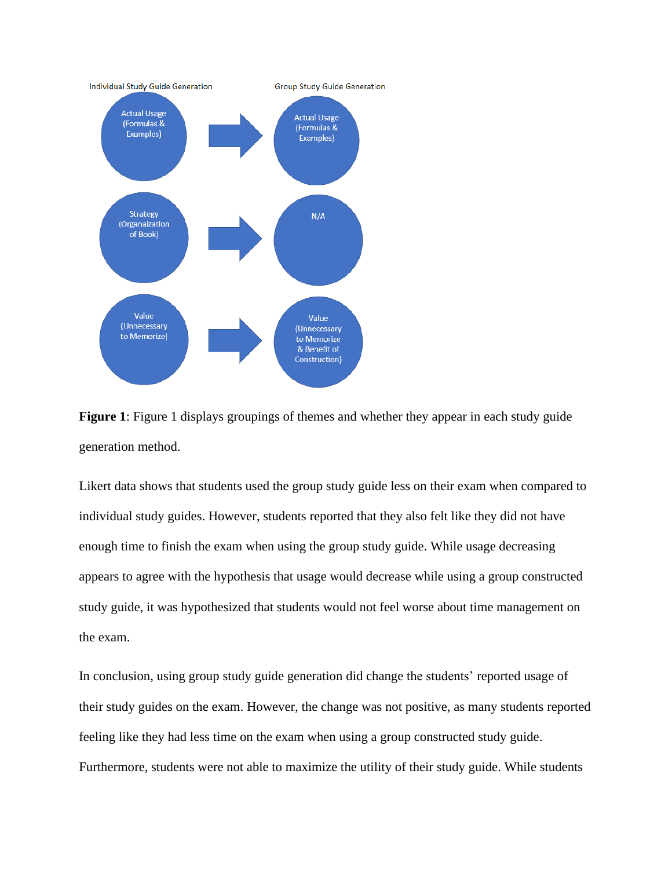

**Figure 1**: Figure 1 displays groupings of themes and whether they appear in each study guide generation method.

Likert data shows that students used the group study guide less on their exam when compared to individual study guides. However, students reported that they also felt like they did not have enough time to finish the exam when using the group study guide. While usage decreasing appears to agree with the hypothesis that usage would decrease while using a group constructed study guide, it was hypothesized that students would not feel worse about time management on the exam.

In conclusion, using group study guide generation did change the students' reported usage of their study guides on the exam. However, the change was not positive, as many students reported feeling like they had less time on the exam when using a group constructed study guide. Furthermore, students were not able to maximize the utility of their study guide. While students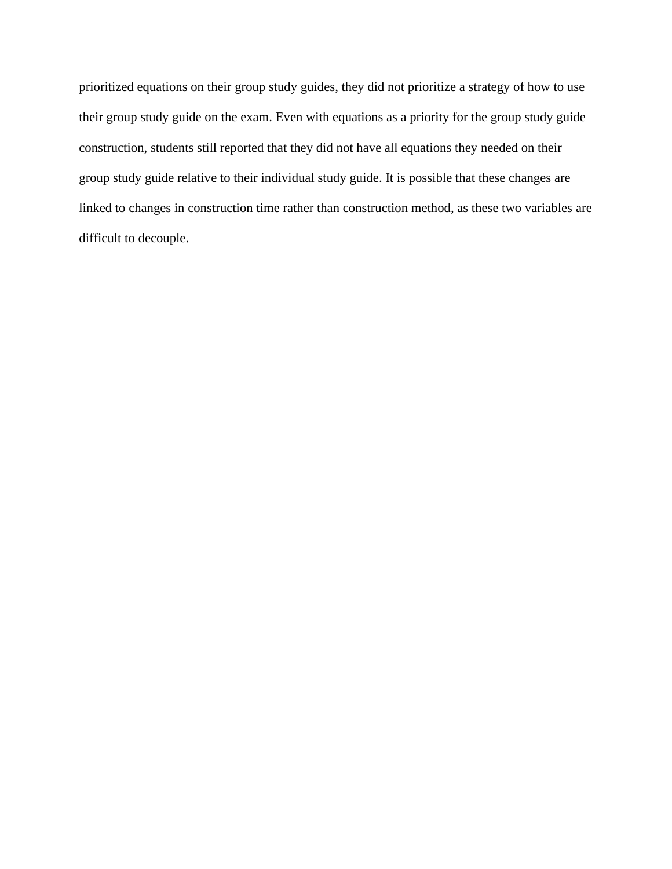prioritized equations on their group study guides, they did not prioritize a strategy of how to use their group study guide on the exam. Even with equations as a priority for the group study guide construction, students still reported that they did not have all equations they needed on their group study guide relative to their individual study guide. It is possible that these changes are linked to changes in construction time rather than construction method, as these two variables are difficult to decouple.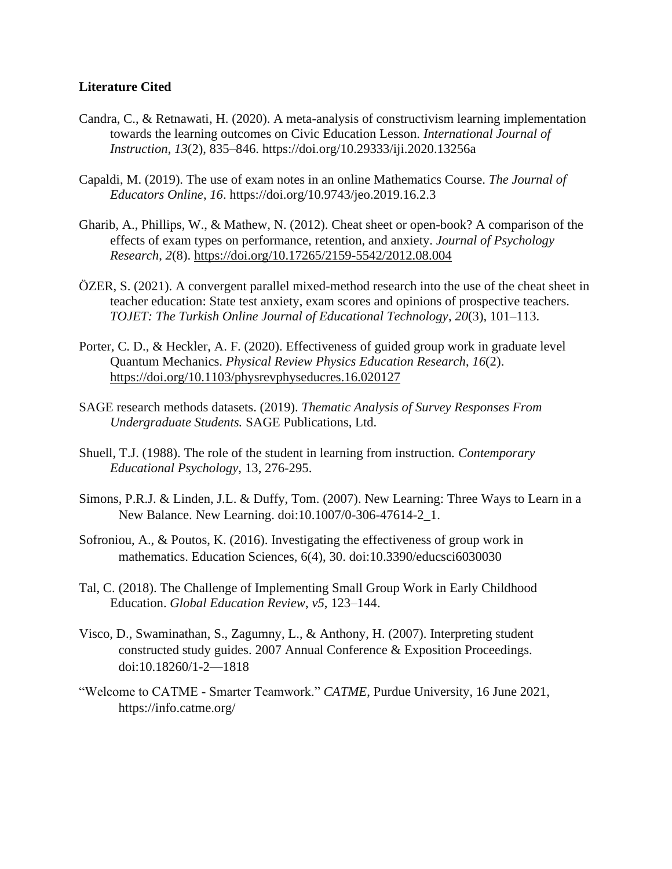### **Literature Cited**

- Candra, C., & Retnawati, H. (2020). A meta-analysis of constructivism learning implementation towards the learning outcomes on Civic Education Lesson. *International Journal of Instruction*, *13*(2), 835–846. https://doi.org/10.29333/iji.2020.13256a
- Capaldi, M. (2019). The use of exam notes in an online Mathematics Course. *The Journal of Educators Online*, *16*. https://doi.org/10.9743/jeo.2019.16.2.3
- Gharib, A., Phillips, W., & Mathew, N. (2012). Cheat sheet or open-book? A comparison of the effects of exam types on performance, retention, and anxiety. *Journal of Psychology Research*, *2*(8).<https://doi.org/10.17265/2159-5542/2012.08.004>
- ÖZER, S. (2021). A convergent parallel mixed-method research into the use of the cheat sheet in teacher education: State test anxiety, exam scores and opinions of prospective teachers. *TOJET: The Turkish Online Journal of Educational Technology*, *20*(3), 101–113.
- Porter, C. D., & Heckler, A. F. (2020). Effectiveness of guided group work in graduate level Quantum Mechanics. *Physical Review Physics Education Research*, *16*(2). <https://doi.org/10.1103/physrevphyseducres.16.020127>
- SAGE research methods datasets. (2019). *Thematic Analysis of Survey Responses From Undergraduate Students.* SAGE Publications, Ltd.
- Shuell, T.J. (1988). The role of the student in learning from instruction*. Contemporary Educational Psychology*, 13, 276-295.
- Simons, P.R.J. & Linden, J.L. & Duffy, Tom. (2007). New Learning: Three Ways to Learn in a New Balance. New Learning. doi:10.1007/0-306-47614-2\_1.
- Sofroniou, A., & Poutos, K. (2016). Investigating the effectiveness of group work in mathematics. Education Sciences, 6(4), 30. doi:10.3390/educsci6030030
- Tal, C. (2018). The Challenge of Implementing Small Group Work in Early Childhood Education. *Global Education Review*, *v5*, 123–144.
- Visco, D., Swaminathan, S., Zagumny, L., & Anthony, H. (2007). Interpreting student constructed study guides. 2007 Annual Conference & Exposition Proceedings. doi:10.18260/1-2—1818
- "Welcome to CATME Smarter Teamwork." *CATME*, Purdue University, 16 June 2021, https://info.catme.org/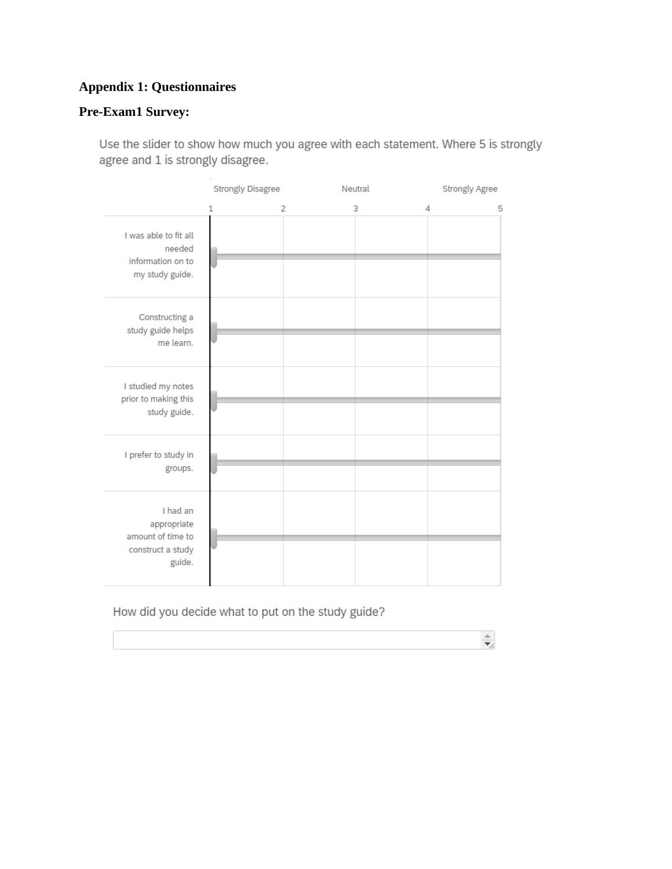# **Appendix 1: Questionnaires**

### **Pre-Exam1 Survey:**

Use the slider to show how much you agree with each statement. Where 5 is strongly agree and 1 is strongly disagree.

|                                                                             | <b>Strongly Disagree</b> |                | Neutral | <b>Strongly Agree</b> |
|-----------------------------------------------------------------------------|--------------------------|----------------|---------|-----------------------|
|                                                                             | 1                        | $\overline{2}$ | 3       | 4<br>5                |
| I was able to fit all<br>needed<br>information on to<br>my study guide.     |                          |                |         |                       |
| Constructing a<br>study guide helps<br>me learn.                            |                          |                |         |                       |
| I studied my notes<br>prior to making this<br>study guide.                  |                          |                |         |                       |
| I prefer to study in<br>groups.                                             |                          |                |         |                       |
| I had an<br>appropriate<br>amount of time to<br>construct a study<br>guide. |                          |                |         |                       |

### How did you decide what to put on the study guide?

 $\frac{\triangle}{\P}$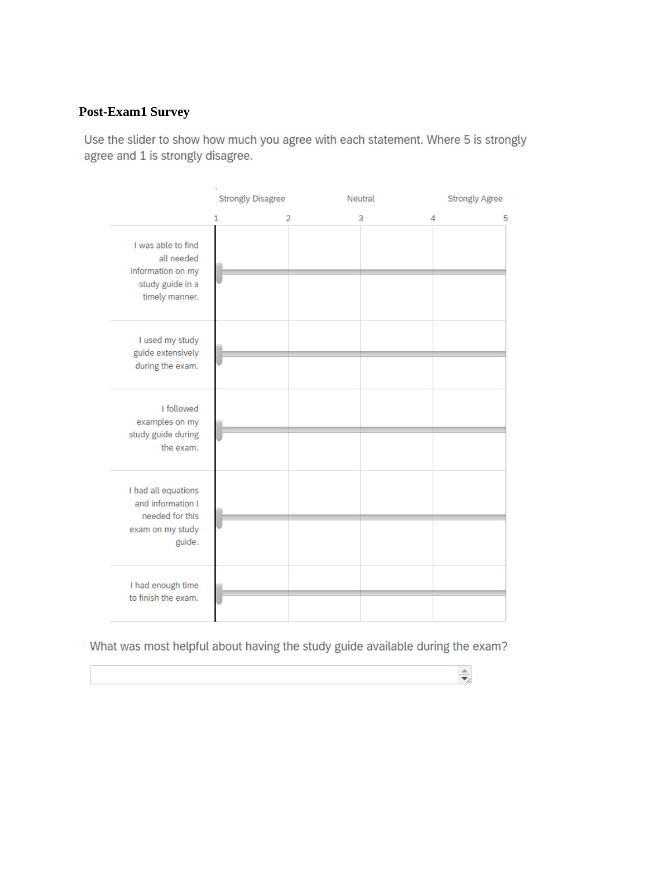### **Post-Exam1 Survey**

Use the slider to show how much you agree with each statement. Where 5 is strongly agree and 1 is strongly disagree.

|                                                                                             | <b>Strongly Disagree</b> |   | Neutral |   | <b>Strongly Agree</b> |
|---------------------------------------------------------------------------------------------|--------------------------|---|---------|---|-----------------------|
|                                                                                             | 1                        | 2 | 3       | 4 | 5                     |
| I was able to find<br>all needed<br>information on my<br>study guide in a<br>timely manner. |                          |   |         |   |                       |
| I used my study<br>guide extensively<br>during the exam.                                    |                          |   |         |   |                       |
| I followed<br>examples on my<br>study guide during<br>the exam.                             |                          |   |         |   |                       |
| I had all equations<br>and information I<br>needed for this<br>exam on my study<br>guide.   |                          |   |         |   |                       |
| I had enough time<br>to finish the exam.                                                    |                          |   |         |   |                       |

What was most helpful about having the study guide available during the exam?

 $\frac{\triangle}{\blacktriangledown_{\!\!f}}$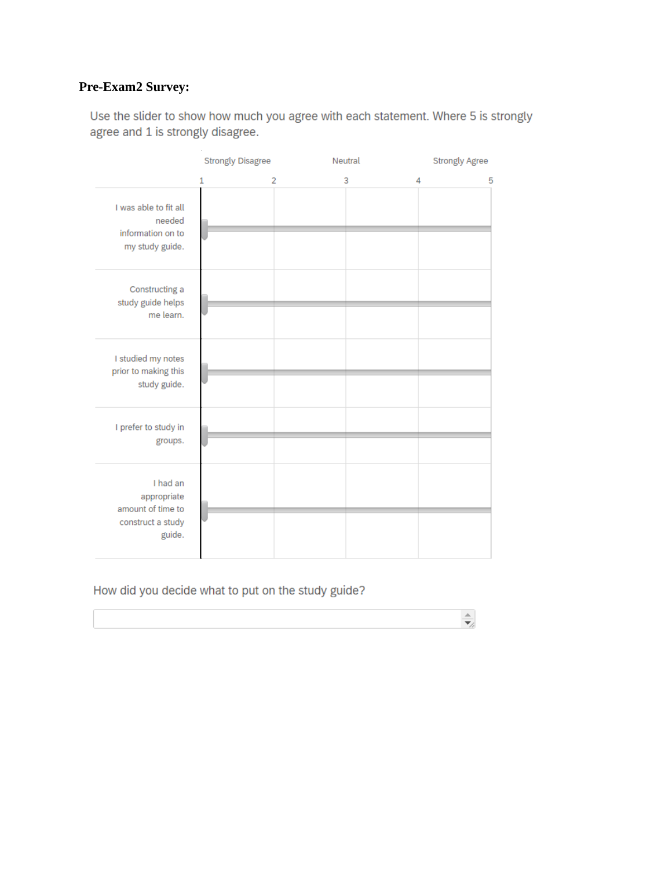# **Pre-Exam2 Survey:**

Use the slider to show how much you agree with each statement. Where 5 is strongly agree and 1 is strongly disagree.

|                                                                             | <b>Strongly Disagree</b> |                | Neutral | <b>Strongly Agree</b> |
|-----------------------------------------------------------------------------|--------------------------|----------------|---------|-----------------------|
|                                                                             | 1                        | $\overline{2}$ | 3       | 4<br>5                |
| I was able to fit all<br>needed<br>information on to<br>my study guide.     |                          |                |         |                       |
| Constructing a<br>study guide helps<br>me learn.                            |                          |                |         |                       |
| I studied my notes<br>prior to making this<br>study guide.                  |                          |                |         |                       |
| I prefer to study in<br>groups.                                             |                          |                |         |                       |
| I had an<br>appropriate<br>amount of time to<br>construct a study<br>guide. |                          |                |         |                       |

 $\frac{\triangle}{\blacktriangledown_{\!\!f}}$ 

### How did you decide what to put on the study guide?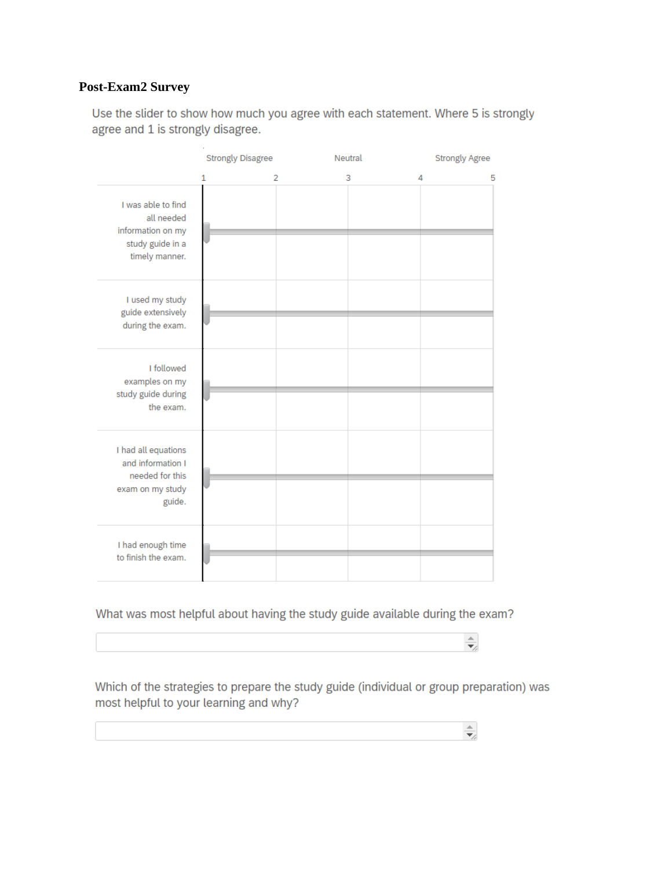### **Post-Exam2 Survey**

Use the slider to show how much you agree with each statement. Where 5 is strongly agree and 1 is strongly disagree.

|                                                                                             | <b>Strongly Disagree</b> |   | Neutral | <b>Strongly Agree</b> |
|---------------------------------------------------------------------------------------------|--------------------------|---|---------|-----------------------|
|                                                                                             | 1                        | 2 | 3       | 4<br>5                |
| I was able to find<br>all needed<br>information on my<br>study guide in a<br>timely manner. |                          |   |         |                       |
| I used my study<br>guide extensively<br>during the exam.                                    |                          |   |         |                       |
| I followed<br>examples on my<br>study guide during<br>the exam.                             |                          |   |         |                       |
| I had all equations<br>and information I<br>needed for this<br>exam on my study<br>guide.   |                          |   |         |                       |
| I had enough time<br>to finish the exam.                                                    |                          |   |         |                       |

What was most helpful about having the study guide available during the exam?

Which of the strategies to prepare the study guide (individual or group preparation) was most helpful to your learning and why?

 $\frac{\triangle}{\blacktriangledown_{\!\!f}}$ 

 $\frac{1}{\frac{1}{2}}$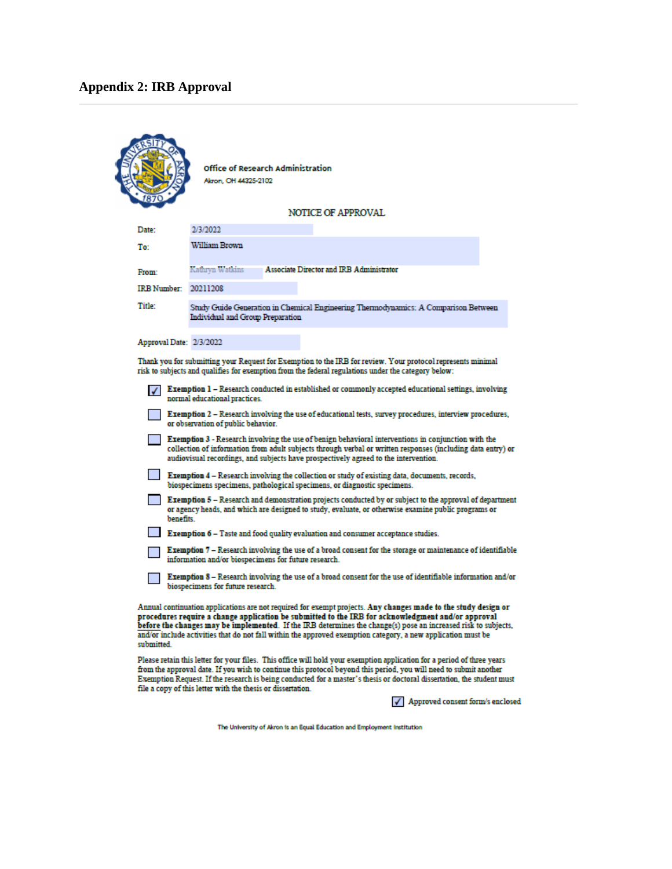### **Appendix 2: IRB Approval**

|                         | Office of Research Administration<br>Akron, OH 44325-2102                                                                                                                                                                                                                                                                                                                                                                                              |
|-------------------------|--------------------------------------------------------------------------------------------------------------------------------------------------------------------------------------------------------------------------------------------------------------------------------------------------------------------------------------------------------------------------------------------------------------------------------------------------------|
|                         | <b>NOTICE OF APPROVAL</b>                                                                                                                                                                                                                                                                                                                                                                                                                              |
| Date:                   | 2/3/2022                                                                                                                                                                                                                                                                                                                                                                                                                                               |
| To:                     | William Brown                                                                                                                                                                                                                                                                                                                                                                                                                                          |
| From:                   | <b>Associate Director and IRB Administrator</b><br>Kathryn Watkins                                                                                                                                                                                                                                                                                                                                                                                     |
| IRB Number: 20211208    |                                                                                                                                                                                                                                                                                                                                                                                                                                                        |
| Title:                  | Study Guide Generation in Chemical Engineering Thermodynamics: A Comparison Between<br>Individual and Group Preparation                                                                                                                                                                                                                                                                                                                                |
| Approval Date: 2/3/2022 |                                                                                                                                                                                                                                                                                                                                                                                                                                                        |
|                         | Thank you for submitting your Request for Exemption to the IRB for review. Your protocol represents minimal<br>risk to subjects and qualifies for exemption from the federal regulations under the category below:                                                                                                                                                                                                                                     |
|                         | Exemption 1 - Research conducted in established or commonly accepted educational settings, involving<br>normal educational practices.                                                                                                                                                                                                                                                                                                                  |
|                         | Exemption 2 - Research involving the use of educational tests, survey procedures, interview procedures,<br>or observation of public behavior.                                                                                                                                                                                                                                                                                                          |
|                         | <b>Exemption 3</b> - Research involving the use of benign behavioral interventions in conjunction with the<br>collection of information from adult subjects through verbal or written responses (including data entry) or<br>audiovisual recordings, and subjects have prospectively agreed to the intervention.                                                                                                                                       |
|                         | <b>Exemption 4 – Research involving the collection or study of existing data, documents, records,</b><br>biospecimens specimens, pathological specimens, or diagnostic specimens.                                                                                                                                                                                                                                                                      |
| benefits.               | Exemption 5 - Research and demonstration projects conducted by or subject to the approval of department<br>or agency heads, and which are designed to study, evaluate, or otherwise examine public programs or                                                                                                                                                                                                                                         |
|                         | <b>Exemption 6 – Taste and food quality evaluation and consumer acceptance studies.</b>                                                                                                                                                                                                                                                                                                                                                                |
|                         | Exemption 7 – Research involving the use of a broad consent for the storage or maintenance of identifiable<br>information and/or biospecimens for future research.                                                                                                                                                                                                                                                                                     |
|                         | Exemption 8 – Research involving the use of a broad consent for the use of identifiable information and/or<br>biospecimens for future research.                                                                                                                                                                                                                                                                                                        |
| enhmittad               | Annual continuation applications are not required for exempt projects. Any changes made to the study design or<br>procedures require a change application be submitted to the IRB for acknowledgment and/or approval<br>before the changes may be implemented. If the IRB determines the change(s) pose an increased risk to subjects,<br>and/or include activities that do not fall within the approved exemption category, a new application must be |

Please retain this letter for your files. This office will hold your exemption application for a period of three years<br>from the approval date. If you wish to continue this protocol beyond this period, you will need to subm

 $\sqrt{\phantom{a}}$  Approved consent form/s enclosed

The University of Akron is an Equal Education and Employment Institution